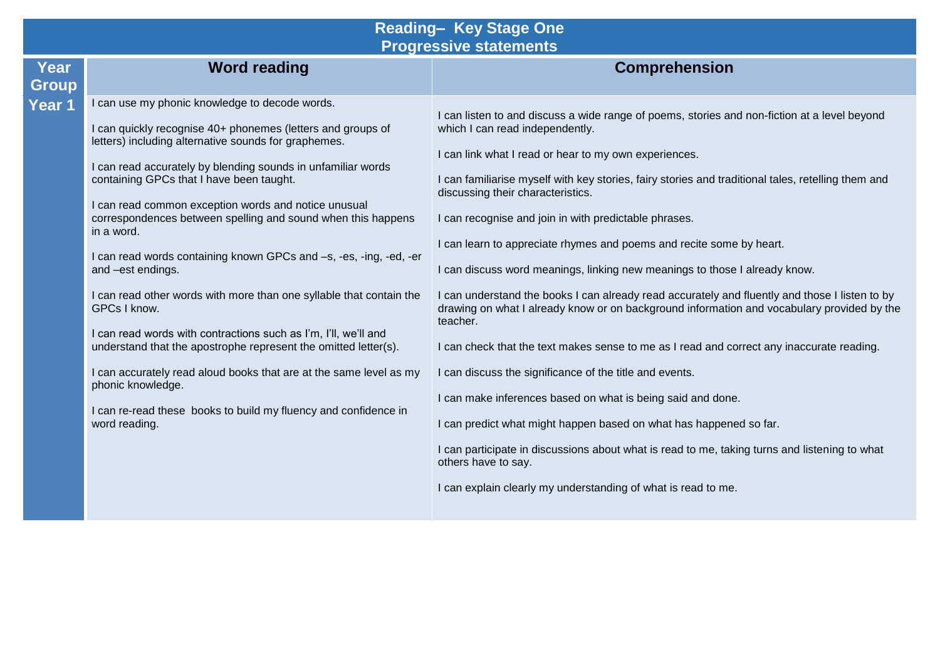## **Reading– Key Stage One Progressive statements**

| Year<br><b>Group</b> | <b>Word reading</b>                                                                                                                                                                                                                                                                                                                                                                                                                                                                                                                                                                                                                                                                                                                                                                                                                                                                                                            | <b>Comprehension</b>                                                                                                                                                                                                                                                                                                                                                                                                                                                                                                                                                                                                                                                                                                                                                                                                                                                                                                                                                                                                                                                                                                                                                                                                                                 |
|----------------------|--------------------------------------------------------------------------------------------------------------------------------------------------------------------------------------------------------------------------------------------------------------------------------------------------------------------------------------------------------------------------------------------------------------------------------------------------------------------------------------------------------------------------------------------------------------------------------------------------------------------------------------------------------------------------------------------------------------------------------------------------------------------------------------------------------------------------------------------------------------------------------------------------------------------------------|------------------------------------------------------------------------------------------------------------------------------------------------------------------------------------------------------------------------------------------------------------------------------------------------------------------------------------------------------------------------------------------------------------------------------------------------------------------------------------------------------------------------------------------------------------------------------------------------------------------------------------------------------------------------------------------------------------------------------------------------------------------------------------------------------------------------------------------------------------------------------------------------------------------------------------------------------------------------------------------------------------------------------------------------------------------------------------------------------------------------------------------------------------------------------------------------------------------------------------------------------|
| Year 1               | I can use my phonic knowledge to decode words.<br>I can quickly recognise 40+ phonemes (letters and groups of<br>letters) including alternative sounds for graphemes.<br>I can read accurately by blending sounds in unfamiliar words<br>containing GPCs that I have been taught.<br>I can read common exception words and notice unusual<br>correspondences between spelling and sound when this happens<br>in a word.<br>I can read words containing known GPCs and -s, -es, -ing, -ed, -er<br>and -est endings.<br>I can read other words with more than one syllable that contain the<br>GPCs I know.<br>I can read words with contractions such as I'm, I'll, we'll and<br>understand that the apostrophe represent the omitted letter(s).<br>I can accurately read aloud books that are at the same level as my<br>phonic knowledge.<br>I can re-read these books to build my fluency and confidence in<br>word reading. | I can listen to and discuss a wide range of poems, stories and non-fiction at a level beyond<br>which I can read independently.<br>I can link what I read or hear to my own experiences.<br>I can familiarise myself with key stories, fairy stories and traditional tales, retelling them and<br>discussing their characteristics.<br>I can recognise and join in with predictable phrases.<br>I can learn to appreciate rhymes and poems and recite some by heart.<br>I can discuss word meanings, linking new meanings to those I already know.<br>I can understand the books I can already read accurately and fluently and those I listen to by<br>drawing on what I already know or on background information and vocabulary provided by the<br>teacher.<br>I can check that the text makes sense to me as I read and correct any inaccurate reading.<br>I can discuss the significance of the title and events.<br>I can make inferences based on what is being said and done.<br>I can predict what might happen based on what has happened so far.<br>I can participate in discussions about what is read to me, taking turns and listening to what<br>others have to say.<br>I can explain clearly my understanding of what is read to me. |
|                      |                                                                                                                                                                                                                                                                                                                                                                                                                                                                                                                                                                                                                                                                                                                                                                                                                                                                                                                                |                                                                                                                                                                                                                                                                                                                                                                                                                                                                                                                                                                                                                                                                                                                                                                                                                                                                                                                                                                                                                                                                                                                                                                                                                                                      |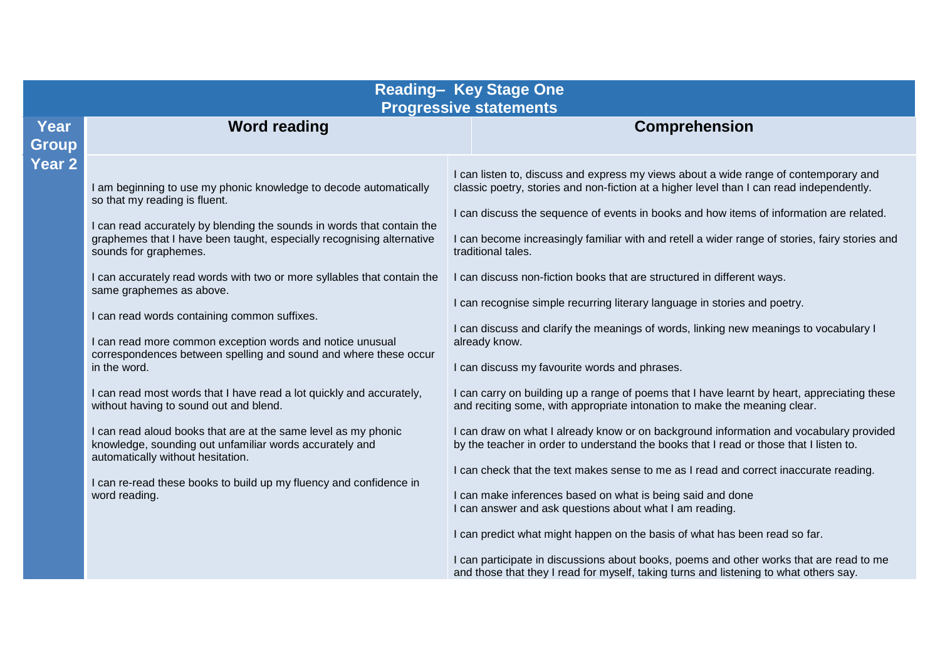| <b>Reading- Key Stage One</b><br><b>Progressive statements</b> |                                                                                                                                                                                                                                                                                                                                                                                                                                                                                                                                                                                                                                                                                                                                                                                                                                                                                                                                                                   |                                                                                                                                                                                                                                                                                                                                                                                                                                                                                                                                                                                                                                                                                                                                                                                                                                                                                                                                                                                                                                                                                                                                                                                                                                                                                                                                                                                                                                                                                                                                                                           |  |  |
|----------------------------------------------------------------|-------------------------------------------------------------------------------------------------------------------------------------------------------------------------------------------------------------------------------------------------------------------------------------------------------------------------------------------------------------------------------------------------------------------------------------------------------------------------------------------------------------------------------------------------------------------------------------------------------------------------------------------------------------------------------------------------------------------------------------------------------------------------------------------------------------------------------------------------------------------------------------------------------------------------------------------------------------------|---------------------------------------------------------------------------------------------------------------------------------------------------------------------------------------------------------------------------------------------------------------------------------------------------------------------------------------------------------------------------------------------------------------------------------------------------------------------------------------------------------------------------------------------------------------------------------------------------------------------------------------------------------------------------------------------------------------------------------------------------------------------------------------------------------------------------------------------------------------------------------------------------------------------------------------------------------------------------------------------------------------------------------------------------------------------------------------------------------------------------------------------------------------------------------------------------------------------------------------------------------------------------------------------------------------------------------------------------------------------------------------------------------------------------------------------------------------------------------------------------------------------------------------------------------------------------|--|--|
| Year<br><b>Group</b>                                           | <b>Word reading</b>                                                                                                                                                                                                                                                                                                                                                                                                                                                                                                                                                                                                                                                                                                                                                                                                                                                                                                                                               | <b>Comprehension</b>                                                                                                                                                                                                                                                                                                                                                                                                                                                                                                                                                                                                                                                                                                                                                                                                                                                                                                                                                                                                                                                                                                                                                                                                                                                                                                                                                                                                                                                                                                                                                      |  |  |
| Year <sub>2</sub>                                              | I am beginning to use my phonic knowledge to decode automatically<br>so that my reading is fluent.<br>I can read accurately by blending the sounds in words that contain the<br>graphemes that I have been taught, especially recognising alternative<br>sounds for graphemes.<br>I can accurately read words with two or more syllables that contain the<br>same graphemes as above.<br>I can read words containing common suffixes.<br>I can read more common exception words and notice unusual<br>correspondences between spelling and sound and where these occur<br>in the word.<br>I can read most words that I have read a lot quickly and accurately,<br>without having to sound out and blend.<br>I can read aloud books that are at the same level as my phonic<br>knowledge, sounding out unfamiliar words accurately and<br>automatically without hesitation.<br>I can re-read these books to build up my fluency and confidence in<br>word reading. | I can listen to, discuss and express my views about a wide range of contemporary and<br>classic poetry, stories and non-fiction at a higher level than I can read independently.<br>I can discuss the sequence of events in books and how items of information are related.<br>I can become increasingly familiar with and retell a wider range of stories, fairy stories and<br>traditional tales.<br>I can discuss non-fiction books that are structured in different ways.<br>I can recognise simple recurring literary language in stories and poetry.<br>I can discuss and clarify the meanings of words, linking new meanings to vocabulary I<br>already know.<br>I can discuss my favourite words and phrases.<br>I can carry on building up a range of poems that I have learnt by heart, appreciating these<br>and reciting some, with appropriate intonation to make the meaning clear.<br>I can draw on what I already know or on background information and vocabulary provided<br>by the teacher in order to understand the books that I read or those that I listen to.<br>I can check that the text makes sense to me as I read and correct inaccurate reading.<br>I can make inferences based on what is being said and done<br>I can answer and ask questions about what I am reading.<br>I can predict what might happen on the basis of what has been read so far.<br>I can participate in discussions about books, poems and other works that are read to me<br>and those that they I read for myself, taking turns and listening to what others say. |  |  |